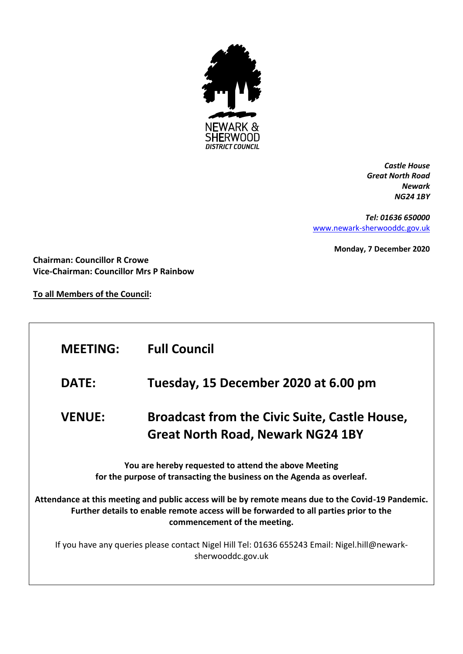

*Castle House Great North Road Newark NG24 1BY*

*Tel: 01636 650000* [www.newark-sherwooddc.gov.uk](http://www.newark-sherwooddc.gov.uk/)

**Monday, 7 December 2020**

**Chairman: Councillor R Crowe Vice-Chairman: Councillor Mrs P Rainbow**

**To all Members of the Council:**

| <b>MEETING:</b>                                                                                                                                                                                                                      | <b>Full Council</b>                                                                              |  |  |
|--------------------------------------------------------------------------------------------------------------------------------------------------------------------------------------------------------------------------------------|--------------------------------------------------------------------------------------------------|--|--|
| <b>DATE:</b>                                                                                                                                                                                                                         | Tuesday, 15 December 2020 at 6.00 pm                                                             |  |  |
| <b>VENUE:</b>                                                                                                                                                                                                                        | <b>Broadcast from the Civic Suite, Castle House,</b><br><b>Great North Road, Newark NG24 1BY</b> |  |  |
| You are hereby requested to attend the above Meeting<br>for the purpose of transacting the business on the Agenda as overleaf.<br>Attendance at this meeting and public access will be by remote means due to the Covid-19 Pandemic. |                                                                                                  |  |  |
| Further details to enable remote access will be forwarded to all parties prior to the<br>commencement of the meeting.                                                                                                                |                                                                                                  |  |  |
| If you have any queries please contact Nigel Hill Tel: 01636 655243 Email: Nigel.hill@newark-<br>sherwooddc.gov.uk                                                                                                                   |                                                                                                  |  |  |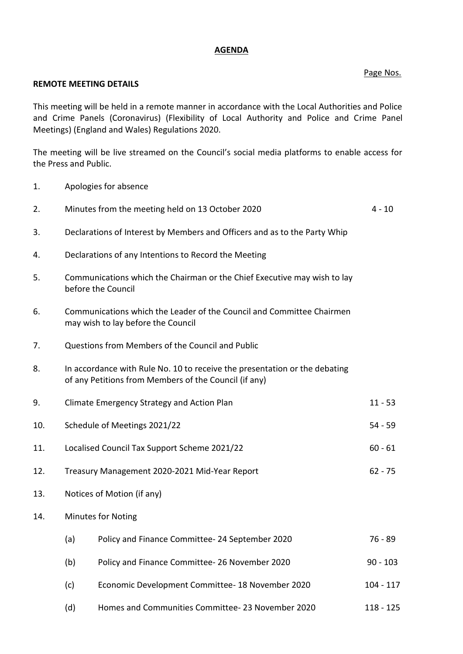## **AGENDA**

## Page Nos.

## **REMOTE MEETING DETAILS**

This meeting will be held in a remote manner in accordance with the Local Authorities and Police and Crime Panels (Coronavirus) (Flexibility of Local Authority and Police and Crime Panel Meetings) (England and Wales) Regulations 2020.

The meeting will be live streamed on the Council's social media platforms to enable access for the Press and Public.

1. Apologies for absence

| 2.  |                                                                                                                                     | Minutes from the meeting held on 13 October 2020     | $4 - 10$    |
|-----|-------------------------------------------------------------------------------------------------------------------------------------|------------------------------------------------------|-------------|
| 3.  | Declarations of Interest by Members and Officers and as to the Party Whip                                                           |                                                      |             |
| 4.  |                                                                                                                                     | Declarations of any Intentions to Record the Meeting |             |
| 5.  | Communications which the Chairman or the Chief Executive may wish to lay<br>before the Council                                      |                                                      |             |
| 6.  | Communications which the Leader of the Council and Committee Chairmen<br>may wish to lay before the Council                         |                                                      |             |
| 7.  | Questions from Members of the Council and Public                                                                                    |                                                      |             |
| 8.  | In accordance with Rule No. 10 to receive the presentation or the debating<br>of any Petitions from Members of the Council (if any) |                                                      |             |
| 9.  |                                                                                                                                     | Climate Emergency Strategy and Action Plan           | $11 - 53$   |
| 10. | Schedule of Meetings 2021/22<br>$54 - 59$                                                                                           |                                                      |             |
| 11. | Localised Council Tax Support Scheme 2021/22<br>$60 - 61$                                                                           |                                                      |             |
| 12. | Treasury Management 2020-2021 Mid-Year Report<br>$62 - 75$                                                                          |                                                      |             |
| 13. | Notices of Motion (if any)                                                                                                          |                                                      |             |
| 14. | <b>Minutes for Noting</b>                                                                                                           |                                                      |             |
|     | (a)                                                                                                                                 | Policy and Finance Committee-24 September 2020       | $76 - 89$   |
|     | (b)                                                                                                                                 | Policy and Finance Committee-26 November 2020        | $90 - 103$  |
|     | (c)                                                                                                                                 | Economic Development Committee- 18 November 2020     | 104 - 117   |
|     | (d)                                                                                                                                 | Homes and Communities Committee-23 November 2020     | $118 - 125$ |